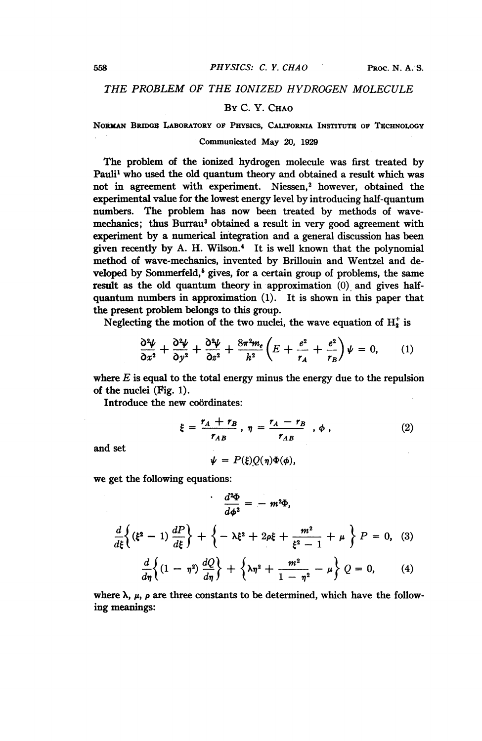# THE PROBLEM OF THE IONIZED HYDROGEN MOLECULE

## BY C. Y. CHAO

NORMAN BRIDGE LABORATORY OF PHYSICS, CALIFORNIA INSTITUTE OF TECHNOLOGY

### Communicated May 20, 1929

The problem of the ionized hydrogen molecule was first treated by Pauli' who used the old quantum theory and obtained a result which was not in agreement with experiment. Niessen,<sup>2</sup> however, obtained the experimental value for the lowest energy level by introducing half-quantum numbers. The problem has now been treated by methods of wavemechanics; thus Burrau<sup>3</sup> obtained a result in very good agreement with experiment by a numerical integration and a general discussion has been given recently by A. H. Wilson.4 It is well known that the polynomial method of wave-mechanics, invented by Brillouin and Wentzel and developed by Sommerfeld,<sup>5</sup> gives, for a certain group of problems, the same result as the old quantum theory in approximation (0) and gives halfquantum numbers in approximation (1). It is shown in this paper that the present problem belongs to this group.

Neglecting the motion of the two nuclei, the wave equation of  $H_2^+$  is

$$
\frac{\partial^2 \psi}{\partial x^2} + \frac{\partial^2 \psi}{\partial y^2} + \frac{\partial^2 \psi}{\partial z^2} + \frac{8\pi^2 m_e}{h^2} \left( E + \frac{e^2}{r_A} + \frac{e^2}{r_B} \right) \psi = 0, \qquad (1)
$$

where  $E$  is equal to the total energy minus the energy due to the repulsion of the nuclei (Fig. 1).

Introduce the new coordinates:

$$
\xi = \frac{r_A + r_B}{r_{AB}}, \ \eta = \frac{r_A - r_B}{r_{AB}}, \ \phi \ , \tag{2}
$$

and set

$$
\psi = P(\xi)Q(\eta)\Phi(\phi),
$$

we get the following equations:

$$
\frac{d^2\Phi}{d\phi^2} = -m^2\Phi,
$$
\n
$$
\frac{d}{d\xi}\left\{(\xi^2 - 1) \frac{dP}{d\xi}\right\} + \left\{-\lambda\xi^2 + 2\rho\xi + \frac{m^2}{\xi^2 - 1} + \mu\right\} P = 0, (3)
$$
\n
$$
\frac{d}{d\eta}\left\{(1 - \eta^2) \frac{dQ}{d\eta}\right\} + \left\{\lambda\eta^2 + \frac{m^2}{1 - \eta^2} - \mu\right\} Q = 0, (4)
$$

where  $\lambda$ ,  $\mu$ ,  $\rho$  are three constants to be determined, which have the following meanings: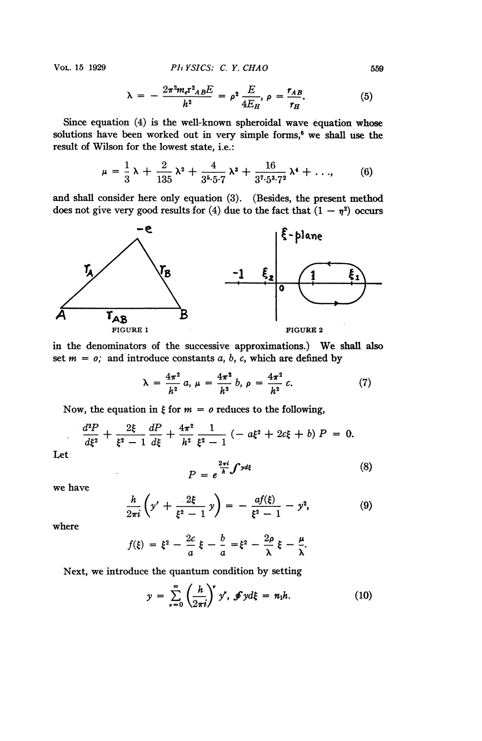Vol. 15 1929 *PHYSICS: C. Y. CHAO* 559

$$
\lambda = -\frac{2\pi^2 m_e r^2_{AB} E}{h^2} = \rho^2 \frac{E}{4E_H}, \rho = \frac{r_{AB}}{r_H}.
$$
 (5)

Since equation (4) is the well-known spheroidal wave equation whose solutions have been worked out in very simple forms,<sup>6</sup> we shall use the result of Wilson for the lowest state, i.e.:

$$
\mu = \frac{1}{3}\lambda + \frac{2}{135}\lambda^2 + \frac{4}{3^5 \cdot 5^2}\lambda^3 + \frac{16}{3^7 \cdot 5^3 \cdot 7^2}\lambda^4 + \dots, \qquad (6)
$$

and shall consider here only equation (3). (Besides, the present method does not give very good results for (4) due to the fact that  $(1 - \eta^2)$  occurs



in the denominators of the successive approximations.) We shall also set  $m = 0$ ; and introduce constants a, b, c, which are defined by

$$
\lambda = \frac{4\pi^2}{h^2} a, \mu = \frac{4\pi^2}{h^2} b, \rho = \frac{4\pi^2}{h^2} c. \tag{7}
$$

Now, the equation in  $\xi$  for  $m = o$  reduces to the following,

$$
\frac{d^2P}{d\xi^2} + \frac{2\xi}{\xi^2 - 1} \frac{dP}{d\xi} + \frac{4\pi^2}{h^2} \frac{1}{\xi^2 - 1} \left( -a\xi^2 + 2c\xi + b \right) P = 0.
$$

Let

$$
P = e^{\frac{2\pi i}{h} \int y d\xi}
$$
 (8)

we have

$$
\frac{h}{2\pi i}\left(y' + \frac{2\xi}{\xi^2 - 1}y\right) = -\frac{af(\xi)}{\xi^2 - 1} - y^2,\tag{9}
$$

where

$$
f(\xi) = \xi^2 - \frac{2c}{a}\xi - \frac{b}{a} = \xi^2 - \frac{2\rho}{\lambda}\xi - \frac{\mu}{\lambda}.
$$

Next, we introduce the quantum condition by setting

$$
y = \sum_{\nu=0}^{\infty} \left(\frac{h}{2\pi i}\right)^{\nu} y^{\nu}, \ \mathcal{J} y d\xi = n_1 h. \tag{10}
$$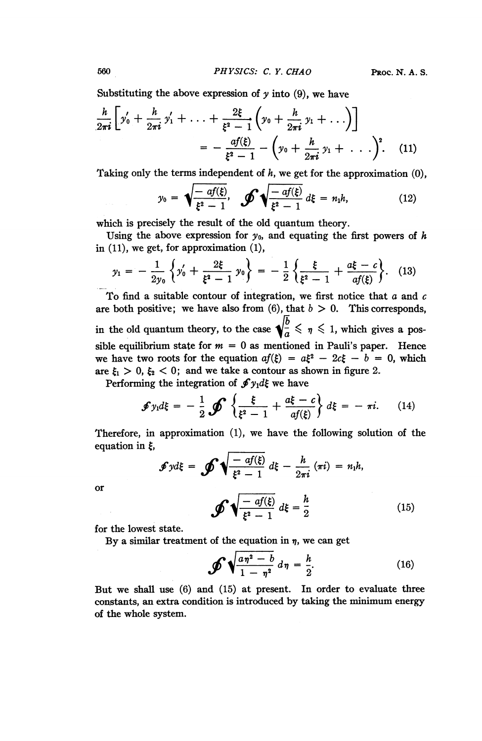Substituting the above expression of y into (9), we have  
\n
$$
\frac{h}{2\pi i} \left[ y'_0 + \frac{h}{2\pi i} y'_1 + \ldots + \frac{2\xi}{\xi^2 - 1} \left( y_0 + \frac{h}{2\pi i} y_1 + \ldots \right) \right]
$$
\n
$$
= -\frac{af(\xi)}{\xi^2 - 1} - \left( y_0 + \frac{h}{2\pi i} y_1 + \ldots \right)^2. \quad (11)
$$

Taking only the terms independent of  $h$ , we get for the approximation  $(0)$ ,

$$
= -\frac{af(\xi)}{\xi^2 - 1} - \left(y_0 + \frac{h}{2\pi i} y_1 + \dots \right)^2.
$$
 (11)  
the terms independent of *h*, we get for the approximation (0  

$$
y_0 = \sqrt{\frac{-af(\xi)}{\xi^2 - 1}}, \quad \oint \sqrt{\frac{-af(\xi)}{\xi^2 - 1}} d\xi = n_1 h,
$$
 (12)  
isely the result of the old quantum theory.

which is precisely the result of the old quantum theory.

Using the above expression for  $y_0$ , and equating the first powers of h in (11), we get, for approximation (1),

$$
y_1 = -\frac{1}{2y_0} \left\{ y_0' + \frac{2\xi}{\xi^2 - 1} y_0 \right\} = -\frac{1}{2} \left\{ \frac{\xi}{\xi^2 - 1} + \frac{a\xi - c}{af(\xi)} \right\}.
$$
 (13)

To find a suitable contour of integration, we first notice that  $a$  and  $c$ are both positive; we have also from (6), that  $b > 0$ . This corresponds, in the old quantum theory, to the case  $\sqrt{\frac{b}{a}} \leq \eta \leq 1$ , which gives a possible equilibrium state for  $m = 0$  as mentioned in Pauli's paper. Hence we have two roots for the equation  $af(\xi) = a\xi^2 - 2c\xi - b = 0$ , which are  $\xi_1 > 0$ ,  $\xi_2 < 0$ ; and we take a contour as shown in figure 2.

Performing the integration of  $\oint y_1 d\xi$  we have

$$
\mathcal{J}y_1d\xi = -\frac{1}{2}\mathcal{J}\left\{\frac{\xi}{\xi^2-1}+\frac{a\xi-c}{af(\xi)}\right\}d\xi = -\pi i. \qquad (14)
$$

Therefore, in approximation (1), we have the following solution of the equation in  $\xi$ ,

$$
\mathscr{F}y d\xi = \mathscr{F}\sqrt{\frac{-af(\xi)}{\xi^2-1}} d\xi - \frac{h}{2\pi i} (\pi i) = n_1 h,
$$

or

$$
\oint \sqrt{\frac{-af(\xi)}{\xi^2 - 1}} d\xi = \frac{h}{2}
$$
 (15)

for the lowest state.

By a similar treatment of the equation in  $\eta$ , we can get

 $\bullet$ 

$$
\mathscr{J}\sqrt{\frac{a\eta^2-b}{1-\eta^2}}\,d\eta=\frac{h}{2}.\tag{16}
$$

But we shall use (6) and (15) at present. In order to evaluate three constants, an extra condition is introduced by taking the minimum energy of the whole system.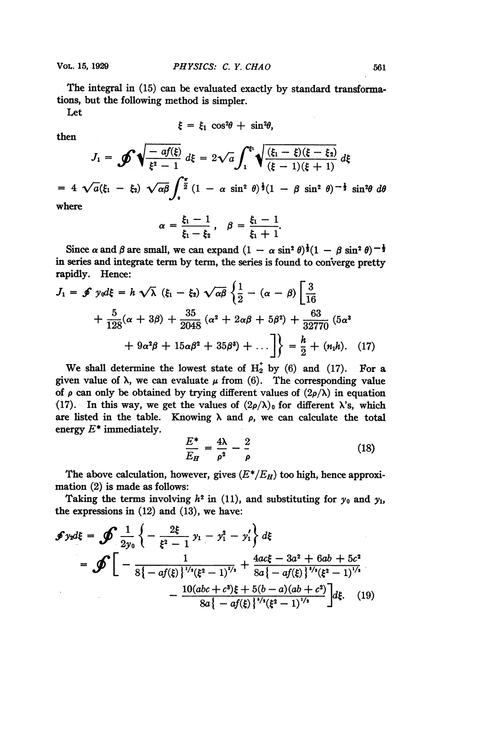The integral in (15) can be evaluated exactly by standard transformations, but the following method is simpler.

Let

$$
\xi = \xi_1 \cos^2 \theta + \sin^2 \theta,
$$

then

then  
\n
$$
\xi = \xi_1 \cos^2 \theta + \sin^2 \theta,
$$
\n
$$
J_1 = \mathcal{J} \sqrt{\frac{-af(\xi)}{\xi^2 - 1}} d\xi = 2\sqrt{a} \int_1^{\xi_1} \sqrt{\frac{(\xi_1 - \xi)(\xi - \xi_2)}{(\xi - 1)(\xi + 1)}} d\xi
$$
\n
$$
= 4\sqrt{a}(\xi_1 - \xi_2) \sqrt{\alpha \beta} \int_0^{\frac{\pi}{2}} (1 - \alpha \sin^2 \theta)^{\frac{1}{2}} (1 - \beta \sin^2 \theta)^{-\frac{1}{2}} \sin^2 \theta d\theta
$$

where

$$
\alpha = \frac{\xi_1 - 1}{\xi_1 - \xi_2}, \quad \beta = \frac{\xi_1 - 1}{\xi_1 + 1}.
$$

Since  $\alpha$  and  $\beta$  are small, we can expand  $(1 - \alpha \sin^2 \theta)^{\frac{1}{2}}(1 - \beta \sin^2 \theta)^{-\frac{1}{2}}$ in series and integrate term by term, the series is found to converge pretty rapidly. Hence:

$$
J_1 = \oint y_0 d\xi = h \sqrt{\lambda} ( \xi_1 - \xi_2 ) \sqrt{\alpha \beta} \left\{ \frac{1}{2} - (\alpha - \beta) \left[ \frac{3}{16} + \frac{5}{128} (\alpha + 3\beta) + \frac{35}{2048} (\alpha^2 + 2\alpha\beta + 5\beta^2) + \frac{63}{32770} (5\alpha^3 + 9\alpha^2\beta + 15\alpha\beta^2 + 35\beta^3) + \dots \right] \right\} = \frac{h}{2} + (n_1 h). \quad (17)
$$

We shall determine the lowest state of  $H_2^*$  by (6) and (17). For a given value of  $\lambda$ , we can evaluate  $\mu$  from (6). The corresponding value of  $\rho$  can only be obtained by trying different values of  $(2\rho/\lambda)$  in equation (17). In this way, we get the values of  $(2\rho/\lambda)_0$  for different  $\lambda$ 's, which are listed in the table. Knowing  $\lambda$  and  $\rho$ , we can calculate the total energy  $E^*$  immediately.

$$
\frac{E^*}{E_H} = \frac{4\lambda}{\rho^2} - \frac{2}{\rho} \tag{18}
$$

The above calculation, however, gives  $(E^*/E_H)$  too high, hence approximation (2) is made as follows:

Taking the terms involving  $h^2$  in (11), and substituting for  $y_0$  and  $y_1$ , the expressions in (12) and (13), we have:

$$
\mathcal{F} y_2 d\xi = \mathcal{F} \frac{1}{2y_0} \left\{ -\frac{2\xi}{\xi^2 - 1} y_1 - y_1^2 - y_1' \right\} d\xi
$$
  
= 
$$
\mathcal{F} \left[ -\frac{1}{8\{-af(\xi)\}^{1/2} (\xi^2 - 1)^{1/2}} + \frac{4ac\xi - 3a^2 + 6ab + 5c^2}{8a\{-af(\xi)\}^{1/2} (\xi^2 - 1)^{1/2}} - \frac{10(abc + c^2)\xi + 5(b - a)(ab + c^2)}{8a\{-af(\xi)\}^{1/2} (\xi^2 - 1)^{1/2}} \right] d\xi. \quad (19)
$$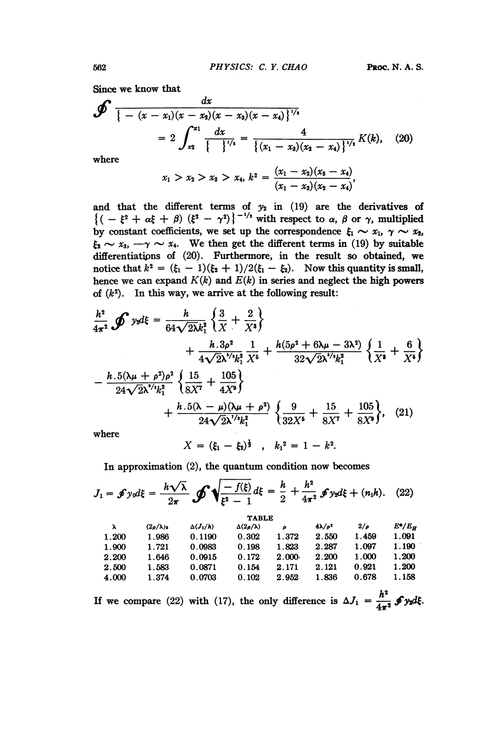Since we know that

Since we know that  
\n
$$
\oint \frac{dx}{\{- (x - x_1)(x - x_2)(x - x_3)(x - x_4) \}^{1/2}}
$$
\n
$$
= 2 \int_{x_2}^{x_1} \frac{dx}{\{\frac{1}{2}\}^{1/2}} = \frac{4}{\{(x_1 - x_3)(x_2 - x_4) \}^{1/2}} K(k), \quad (20)
$$
\nwhere

$$
x_1 > x_2 > x_3 > x_4, k^2 = \frac{(x_1 - x_2)(x_3 - x_4)}{(x_1 - x_3)(x_2 - x_4)},
$$

and that the different terms of  $y_2$  in (19) are the derivatives of  $\{(-\xi^2 + \alpha\xi + \beta)$   $(\xi^2 - \gamma^2)\}^{-1/2}$  with respect to  $\alpha$ ,  $\beta$  or  $\gamma$ , multiplied by constant coefficients, we set up the correspondence  $\xi_1 \sim x_1$ ,  $\gamma \sim x_2$ ,  $\xi_2 \sim x_3$ ,  $-\gamma \sim x_4$ . We then get the different terms in (19) by suitable differentiations of (20). Furthermore, in the result so obtained, we notice that  $k^2 = (\xi_1 - 1)(\xi_2 + 1)/2(\xi_1 - \xi_2)$ . Now this quantity is small, hence we can expand  $K(k)$  and  $E(k)$  in series and neglect the high powers of  $(k^2)$ . In this way, we arrive at the following result:

$$
\frac{h^2}{4\pi^2} \oint y_2 d\xi = \frac{h}{64\sqrt{2\lambda}k_1^2} \left\{ \frac{3}{X} + \frac{2}{X^3} \right\} \n+ \frac{h \cdot 3\rho^2}{4\sqrt{2\lambda}^{1/2}k_1^2} \frac{1}{X^5} + \frac{h(5\rho^2 + 6\lambda\mu - 3\lambda^2)}{32\sqrt{2\lambda}^{1/2}k_1^2} \left\{ \frac{1}{X^5} + \frac{6}{X^5} \right\} \n- \frac{h \cdot 5(\lambda\mu + \rho^2)\rho^2}{24\sqrt{2\lambda}^{1/2}k_1^2} \left\{ \frac{15}{8X^7} + \frac{105}{4X^9} \right\} \n+ \frac{h \cdot 5(\lambda - \mu)(\lambda\mu + \rho^2)}{24\sqrt{2\lambda}^{1/2}k_1^2} \left\{ \frac{9}{32X^5} + \frac{15}{8X^7} + \frac{105}{8X^9} \right\}, \quad (21)
$$

where

$$
X = (\xi_1 - \xi_2)^{\frac{1}{2}} , \quad k_1^2 = 1 - k^2.
$$

In approximation (2), the quantum condition now becomes

$$
\Delta = (\xi_1 - \xi_2)^2, \quad k_1 = 1 - k^2.
$$
  
In approximation (2), the quantum condition now becomes  

$$
J_1 = \oint y_0 d\xi = \frac{h\sqrt{\lambda}}{2\pi} \oint \sqrt{\frac{-f(\xi)}{\xi^2 - 1}} d\xi = \frac{h}{2} + \frac{h^2}{4\pi^2} \oint y_2 d\xi + (n_1 h). \quad (22)
$$

| $(2\rho/\lambda)_0$<br>λ<br>1.986<br>1.200 | $\Delta(J_1/h)$ | $\Delta(2\rho/\lambda)$ | ρ         | $4\lambda/\rho^2$ |          |           |
|--------------------------------------------|-----------------|-------------------------|-----------|-------------------|----------|-----------|
|                                            |                 |                         |           |                   | $2/\rho$ | $E^*/E_H$ |
|                                            | 0.1190          | 0.302                   | 1.372     | 2.550             | 1.459    | 1.091     |
| 1.900<br>1.721                             | 0.0983          | 0.198                   | 1.823     | 2.287             | 1.097    | 1.190     |
| 1.646<br>2.200                             | 0.0915          | 0.172                   | $2.000 -$ | 2.200             | 1.000    | 1.200     |
| 2.500<br>1.583                             | 0.0871          | 0.154                   | 2.171     | 2.121             | 0.921    | 1.200     |
| 4.000<br>1.374                             | 0.0703          | 0.102                   | 2.952     | 1.836             | 0.678    | 1.158     |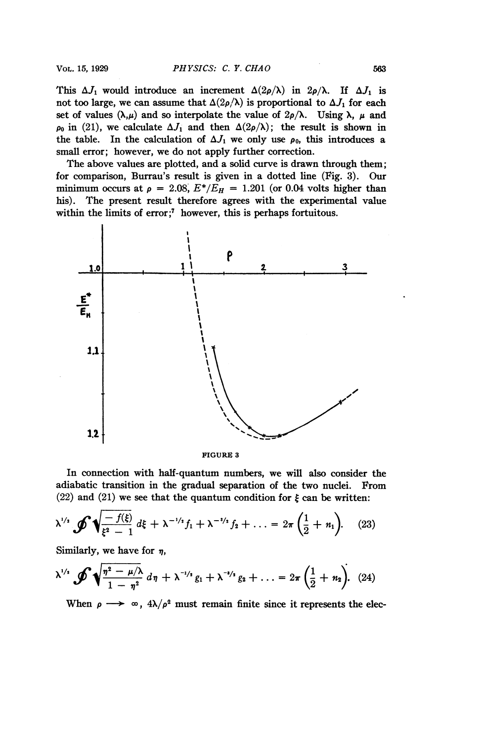This  $\Delta J_1$  would introduce an increment  $\Delta(2\rho/\lambda)$  in  $2\rho/\lambda$ . If  $\Delta J_1$  is not too large, we can assume that  $\Delta(2\rho/\lambda)$  is proportional to  $\Delta J_1$  for each set of values  $(\lambda,\mu)$  and so interpolate the value of  $2\rho/\lambda$ . Using  $\lambda$ ,  $\mu$  and  $\rho_0$  in (21), we calculate  $\Delta J_1$  and then  $\Delta(2\rho/\lambda)$ ; the result is shown in the table. In the calculation of  $\Delta J_1$  we only use  $\rho_0$ , this introduces a small error; however, we do not apply further correction.

The above values are plotted, and a solid curve is drawn through them; for comparison, Burrau's result is given in a dotted line (Fig. 3). Our minimum occurs at  $\rho = 2.08$ ,  $E^*/E_H = 1.201$  (or 0.04 volts higher than his). The present result therefore agrees with the experimental value within the limits of error;<sup>7</sup> however, this is perhaps fortuitous.



FIGURE <sup>3</sup>

In connection with half-quantum numbers, we will also consider the adiabatic transition in the gradual separation of the two nuclei. From (22) and (21) we see that the quantum condition for  $\xi$  can be written:

$$
\lambda^{1/2} \oint \sqrt{\frac{-f(\xi)}{\xi^2 - 1}} d\xi + \lambda^{-1/2} f_1 + \lambda^{-1/2} f_2 + \ldots = 2\pi \left(\frac{1}{2} + n_1\right). \tag{23}
$$

Similarly, we have for  $\eta$ ,

Similarly, we have for 
$$
\eta
$$
,  
\n
$$
\lambda^{1/2} \oint \sqrt{\frac{\eta^2 - \mu/\lambda}{1 - \eta^2}} d\eta + \lambda^{-1/2} g_1 + \lambda^{-1/2} g_2 + \ldots = 2\pi \left(\frac{1}{2} + n_2\right).
$$
 (24)

When  $\rho \longrightarrow \infty$ ,  $4\lambda/\rho^2$  must remain finite since it represents the elec-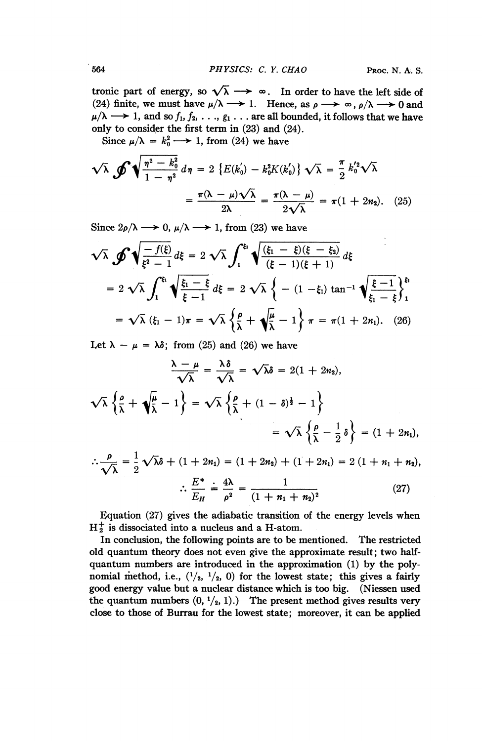tronic part of energy, so  $\sqrt{\lambda} \longrightarrow \infty$ . In order to have the left side of (24) finite, we must have  $\mu/\lambda \longrightarrow 1$ . Hence, as  $\rho \longrightarrow \infty$ ,  $\rho/\lambda \longrightarrow 0$  and  $\mu/\lambda \longrightarrow 1$ , and so  $f_1, f_2, \ldots, g_1 \ldots$  are all bounded, it follows that we have only to consider the first term in (23) and (24).

Since  $\mu/\lambda = k_0^2 \longrightarrow 1$ , from (24) we have

$$
\sqrt{\lambda} \oint \sqrt{\frac{\eta^2 - k_0^2}{1 - \eta^2}} d\eta = 2 \left\{ E(k_0) - k_0^2 K(k_0') \right\} \sqrt{\lambda} = \frac{\pi}{2} k_0'^2 \sqrt{\lambda}
$$

$$
= \frac{\pi(\lambda - \mu)\sqrt{\lambda}}{2\lambda} = \frac{\pi(\lambda - \mu)}{2\sqrt{\lambda}} = \pi(1 + 2n_2). \quad (25)
$$

Since  $2\rho/\lambda \longrightarrow 0$ ,  $\mu/\lambda \longrightarrow 1$ , from (23) we have

$$
\sqrt{\lambda} \oint \sqrt{\frac{-f(\xi)}{\xi^2 - 1}} d\xi = 2 \sqrt{\lambda} \int_1^{\xi_1} \sqrt{\frac{(\xi_1 - \xi)(\xi - \xi_2)}{(\xi - 1)(\xi + 1)}} d\xi
$$
  
=  $2 \sqrt{\lambda} \int_1^{\xi_1} \sqrt{\frac{\xi_1 - \xi}{\xi - 1}} d\xi = 2 \sqrt{\lambda} \left\{ -(1 - \xi_1) \tan^{-1} \sqrt{\frac{\xi - 1}{\xi_1 - \xi}} \right\}_1^{\xi_1}$   
=  $\sqrt{\lambda} (\xi_1 - 1) \pi = \sqrt{\lambda} \left\{ \frac{\rho}{\lambda} + \sqrt{\frac{\mu}{\lambda}} - 1 \right\} \pi = \pi (1 + 2n_1).$  (26)

Let  $\lambda - \mu = \lambda \delta$ ; from (25) and (26) we have

$$
\frac{\lambda - \mu}{\sqrt{\lambda}} = \frac{\lambda \delta}{\sqrt{\lambda}} = \sqrt{\lambda} \delta = 2(1 + 2n_2),
$$
  

$$
\sqrt{\lambda} \left\{ \frac{\rho}{\lambda} + \sqrt{\frac{\mu}{\lambda}} - 1 \right\} = \sqrt{\lambda} \left\{ \frac{\rho}{\lambda} + (1 - \delta)^{\frac{1}{2}} - 1 \right\}
$$
  

$$
= \sqrt{\lambda} \left\{ \frac{\rho}{\lambda} - \frac{1}{2} \delta \right\} = (1 + 2n_1),
$$

$$
\therefore \frac{\rho}{\sqrt{\lambda}} = \frac{1}{2} \sqrt{\lambda} \delta + (1 + 2n_1) = (1 + 2n_2) + (1 + 2n_1) = 2 (1 + n_1 + n_2),
$$
  

$$
\therefore E^* \div 4\lambda = 1
$$
 (37)

$$
\frac{E^*}{E_H} \doteq \frac{4\lambda}{\rho^2} = \frac{1}{(1 + n_1 + n_2)^2} \tag{27}
$$

Equation (27) gives the adiabatic transition of the energy levels when  $H_2^+$  is dissociated into a nucleus and a H-atom.

In conclusion, the following points are to be mentioned. The restricted old quantum theory does not even give the approximate result; two halfquantum numbers are introduced in the approximation (1) by the polynomial method, i.e.,  $(1/2, 1/2, 0)$  for the lowest state; this gives a fairly good energy value but a nuclear distance which is too big. (Niessen used the quantum numbers  $(0, \frac{1}{2}, 1)$ .) The present method gives results very close to those of Burrau for the lowest state; moreover, it can be applied